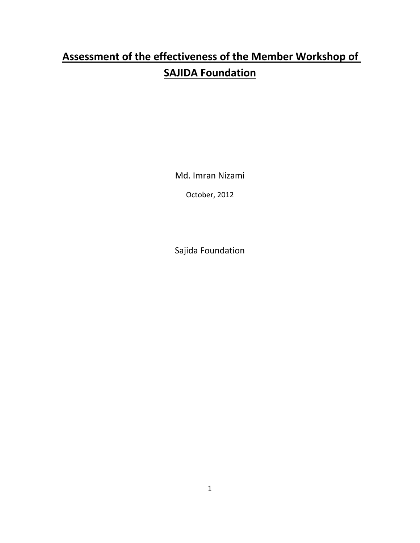# **Assessment of the effectiveness of the Member Workshop of SAJIDA Foundation**

Md. Imran Nizami

October, 2012

Sajida Foundation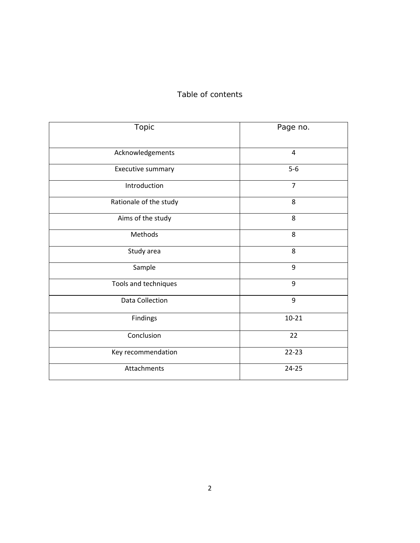## Table of contents

| Topic                  | Page no.       |
|------------------------|----------------|
| Acknowledgements       | 4              |
| Executive summary      | $5-6$          |
| Introduction           | $\overline{7}$ |
| Rationale of the study | 8              |
| Aims of the study      | 8              |
| Methods                | 8              |
| Study area             | 8              |
| Sample                 | 9              |
| Tools and techniques   | 9              |
| Data Collection        | 9              |
| Findings               | $10 - 21$      |
| Conclusion             | 22             |
| Key recommendation     | $22 - 23$      |
| Attachments            | $24 - 25$      |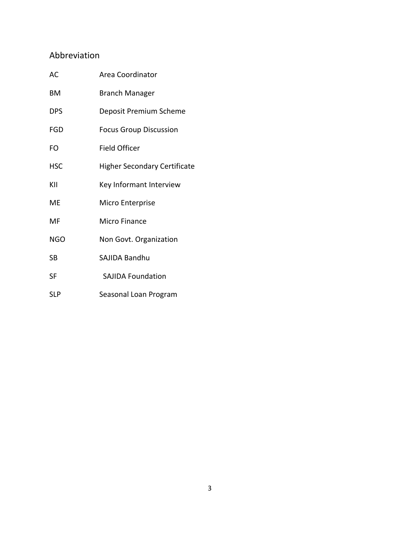## Abbreviation

| AC         | Area Coordinator                    |  |
|------------|-------------------------------------|--|
| ВM         | <b>Branch Manager</b>               |  |
| <b>DPS</b> | Deposit Premium Scheme              |  |
| FGD        | <b>Focus Group Discussion</b>       |  |
| FO         | <b>Field Officer</b>                |  |
| <b>HSC</b> | <b>Higher Secondary Certificate</b> |  |
| KII        | Key Informant Interview             |  |
| ME         | Micro Enterprise                    |  |
| MF         | Micro Finance                       |  |
| NGO        | Non Govt. Organization              |  |
| SB         | SAJIDA Bandhu                       |  |
| SF         | <b>SAJIDA Foundation</b>            |  |
| <b>SLP</b> | Seasonal Loan Program               |  |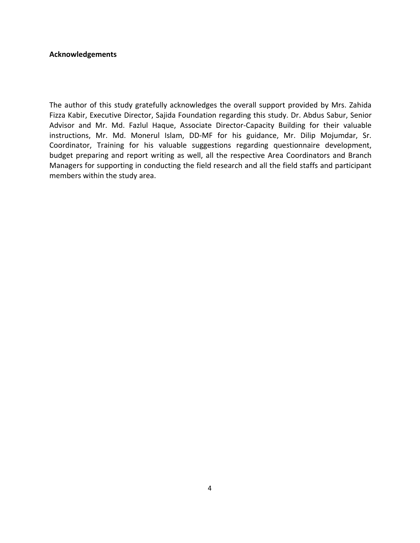#### **Acknowledgements**

The author of this study gratefully acknowledges the overall support provided by Mrs. Zahida Fizza Kabir, Executive Director, Sajida Foundation regarding this study. Dr. Abdus Sabur, Senior Advisor and Mr. Md. Fazlul Haque, Associate Director‐Capacity Building for their valuable instructions, Mr. Md. Monerul Islam, DD‐MF for his guidance, Mr. Dilip Mojumdar, Sr. Coordinator, Training for his valuable suggestions regarding questionnaire development, budget preparing and report writing as well, all the respective Area Coordinators and Branch Managers for supporting in conducting the field research and all the field staffs and participant members within the study area.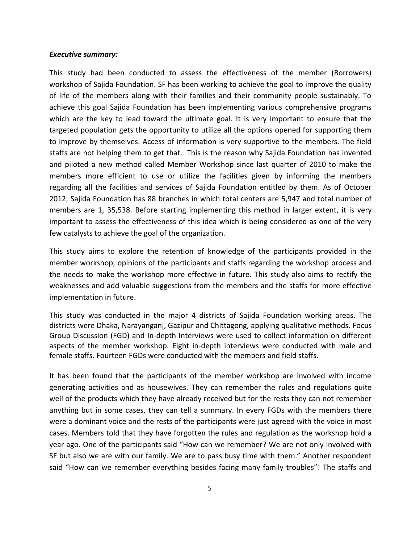#### *Executive summary:*

This study had been conducted to assess the effectiveness of the member (Borrowers) workshop of Sajida Foundation. SF has been working to achieve the goal to improve the quality of life of the members along with their families and their community people sustainably. To achieve this goal Sajida Foundation has been implementing various comprehensive programs which are the key to lead toward the ultimate goal. It is very important to ensure that the targeted population gets the opportunity to utilize all the options opened for supporting them to improve by themselves. Access of information is very supportive to the members. The field staffs are not helping them to get that. This is the reason why Sajida Foundation has invented and piloted a new method called Member Workshop since last quarter of 2010 to make the members more efficient to use or utilize the facilities given by informing the members regarding all the facilities and services of Sajida Foundation entitled by them. As of October 2012, Sajida Foundation has 88 branches in which total centers are 5,947 and total number of members are 1, 35,538. Before starting implementing this method in larger extent, it is very important to assess the effectiveness of this idea which is being considered as one of the very few catalysts to achieve the goal of the organization.

This study aims to explore the retention of knowledge of the participants provided in the member workshop, opinions of the participants and staffs regarding the workshop process and the needs to make the workshop more effective in future. This study also aims to rectify the weaknesses and add valuable suggestions from the members and the staffs for more effective implementation in future.

This study was conducted in the major 4 districts of Sajida Foundation working areas. The districts were Dhaka, Narayanganj, Gazipur and Chittagong, applying qualitative methods. Focus Group Discussion (FGD) and In‐depth Interviews were used to collect information on different aspects of the member workshop. Eight in‐depth interviews were conducted with male and female staffs. Fourteen FGDs were conducted with the members and field staffs.

It has been found that the participants of the member workshop are involved with income generating activities and as housewives. They can remember the rules and regulations quite well of the products which they have already received but for the rests they can not remember anything but in some cases, they can tell a summary. In every FGDs with the members there were a dominant voice and the rests of the participants were just agreed with the voice in most cases. Members told that they have forgotten the rules and regulation as the workshop hold a year ago. One of the participants said "How can we remember? We are not only involved with SF but also we are with our family. We are to pass busy time with them." Another respondent said "How can we remember everything besides facing many family troubles"! The staffs and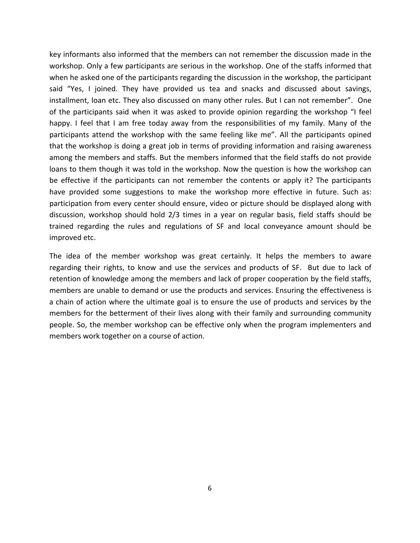key informants also informed that the members can not remember the discussion made in the workshop. Only a few participants are serious in the workshop. One of the staffs informed that when he asked one of the participants regarding the discussion in the workshop, the participant said "Yes, I joined. They have provided us tea and snacks and discussed about savings, installment, loan etc. They also discussed on many other rules. But I can not remember". One of the participants said when it was asked to provide opinion regarding the workshop "I feel happy. I feel that I am free today away from the responsibilities of my family. Many of the participants attend the workshop with the same feeling like me". All the participants opined that the workshop is doing a great job in terms of providing information and raising awareness among the members and staffs. But the members informed that the field staffs do not provide loans to them though it was told in the workshop. Now the question is how the workshop can be effective if the participants can not remember the contents or apply it? The participants have provided some suggestions to make the workshop more effective in future. Such as: participation from every center should ensure, video or picture should be displayed along with discussion, workshop should hold 2/3 times in a year on regular basis, field staffs should be trained regarding the rules and regulations of SF and local conveyance amount should be improved etc.

The idea of the member workshop was great certainly. It helps the members to aware regarding their rights, to know and use the services and products of SF. But due to lack of retention of knowledge among the members and lack of proper cooperation by the field staffs, members are unable to demand or use the products and services. Ensuring the effectiveness is a chain of action where the ultimate goal is to ensure the use of products and services by the members for the betterment of their lives along with their family and surrounding community people. So, the member workshop can be effective only when the program implementers and members work together on a course of action.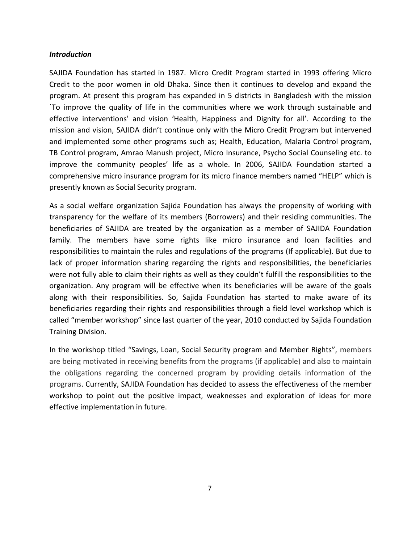#### *Introduction*

SAJIDA Foundation has started in 1987. Micro Credit Program started in 1993 offering Micro Credit to the poor women in old Dhaka. Since then it continues to develop and expand the program. At present this program has expanded in 5 districts in Bangladesh with the mission `To improve the quality of life in the communities where we work through sustainable and effective interventions' and vision 'Health, Happiness and Dignity for all'. According to the mission and vision, SAJIDA didn't continue only with the Micro Credit Program but intervened and implemented some other programs such as; Health, Education, Malaria Control program, TB Control program, Amrao Manush project, Micro Insurance, Psycho Social Counseling etc. to improve the community peoples' life as a whole. In 2006, SAJIDA Foundation started a comprehensive micro insurance program for its micro finance members named "HELP" which is presently known as Social Security program.

As a social welfare organization Sajida Foundation has always the propensity of working with transparency for the welfare of its members (Borrowers) and their residing communities. The beneficiaries of SAJIDA are treated by the organization as a member of SAJIDA Foundation family. The members have some rights like micro insurance and loan facilities and responsibilities to maintain the rules and regulations of the programs (If applicable). But due to lack of proper information sharing regarding the rights and responsibilities, the beneficiaries were not fully able to claim their rights as well as they couldn't fulfill the responsibilities to the organization. Any program will be effective when its beneficiaries will be aware of the goals along with their responsibilities. So, Sajida Foundation has started to make aware of its beneficiaries regarding their rights and responsibilities through a field level workshop which is called "member workshop" since last quarter of the year, 2010 conducted by Sajida Foundation Training Division.

In the workshop titled "Savings, Loan, Social Security program and Member Rights", members are being motivated in receiving benefits from the programs (if applicable) and also to maintain the obligations regarding the concerned program by providing details information of the programs. Currently, SAJIDA Foundation has decided to assess the effectiveness of the member workshop to point out the positive impact, weaknesses and exploration of ideas for more effective implementation in future.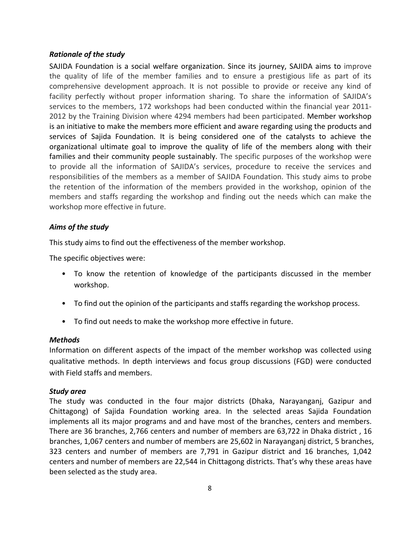#### *Rationale of the study*

SAJIDA Foundation is a social welfare organization. Since its journey, SAJIDA aims to improve the quality of life of the member families and to ensure a prestigious life as part of its comprehensive development approach. It is not possible to provide or receive any kind of facility perfectly without proper information sharing. To share the information of SAJIDA's services to the members, 172 workshops had been conducted within the financial year 2011-2012 by the Training Division where 4294 members had been participated. Member workshop is an initiative to make the members more efficient and aware regarding using the products and services of Sajida Foundation. It is being considered one of the catalysts to achieve the organizational ultimate goal to improve the quality of life of the members along with their families and their community people sustainably. The specific purposes of the workshop were to provide all the information of SAJIDA's services, procedure to receive the services and responsibilities of the members as a member of SAJIDA Foundation. This study aims to probe the retention of the information of the members provided in the workshop, opinion of the members and staffs regarding the workshop and finding out the needs which can make the workshop more effective in future.

#### *Aims of the study*

This study aims to find out the effectiveness of the member workshop.

The specific objectives were:

- To know the retention of knowledge of the participants discussed in the member workshop.
- To find out the opinion of the participants and staffs regarding the workshop process.
- To find out needs to make the workshop more effective in future.

#### *Methods*

Information on different aspects of the impact of the member workshop was collected using qualitative methods. In depth interviews and focus group discussions (FGD) were conducted with Field staffs and members.

#### *Study area*

The study was conducted in the four major districts (Dhaka, Narayanganj, Gazipur and Chittagong) of Sajida Foundation working area. In the selected areas Sajida Foundation implements all its major programs and and have most of the branches, centers and members. There are 36 branches, 2,766 centers and number of members are 63,722 in Dhaka district , 16 branches, 1,067 centers and number of members are 25,602 in Narayanganj district, 5 branches, 323 centers and number of members are 7,791 in Gazipur district and 16 branches, 1,042 centers and number of members are 22,544 in Chittagong districts. That's why these areas have been selected as the study area.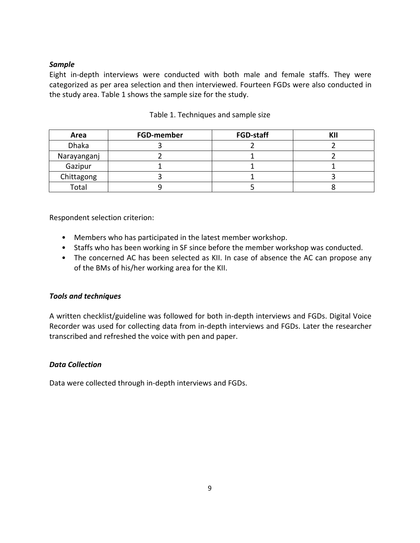## *Sample*

Eight in‐depth interviews were conducted with both male and female staffs. They were categorized as per area selection and then interviewed. Fourteen FGDs were also conducted in the study area. Table 1 shows the sample size for the study.

| Area         | <b>FGD-member</b> | <b>FGD-staff</b> | ИН |
|--------------|-------------------|------------------|----|
| <b>Dhaka</b> |                   |                  |    |
| Narayanganj  |                   |                  |    |
| Gazipur      |                   |                  |    |
| Chittagong   |                   |                  |    |
| Total        |                   |                  |    |

## Table 1. Techniques and sample size

Respondent selection criterion:

- Members who has participated in the latest member workshop.
- Staffs who has been working in SF since before the member workshop was conducted.
- The concerned AC has been selected as KII. In case of absence the AC can propose any of the BMs of his/her working area for the KII.

## *Tools and techniques*

A written checklist/guideline was followed for both in‐depth interviews and FGDs. Digital Voice Recorder was used for collecting data from in‐depth interviews and FGDs. Later the researcher transcribed and refreshed the voice with pen and paper.

## *Data Collection*

Data were collected through in‐depth interviews and FGDs.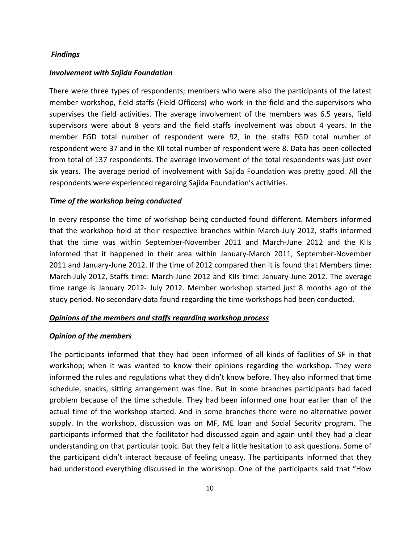#### *Findings*

#### *Involvement with Sajida Foundation*

There were three types of respondents; members who were also the participants of the latest member workshop, field staffs (Field Officers) who work in the field and the supervisors who supervises the field activities. The average involvement of the members was 6.5 years, field supervisors were about 8 years and the field staffs involvement was about 4 years. In the member FGD total number of respondent were 92, in the staffs FGD total number of respondent were 37 and in the KII total number of respondent were 8. Data has been collected from total of 137 respondents. The average involvement of the total respondents was just over six years. The average period of involvement with Sajida Foundation was pretty good. All the respondents were experienced regarding Sajida Foundation's activities.

#### *Time of the workshop being conducted*

In every response the time of workshop being conducted found different. Members informed that the workshop hold at their respective branches within March‐July 2012, staffs informed that the time was within September‐November 2011 and March‐June 2012 and the KIIs informed that it happened in their area within January-March 2011, September-November 2011 and January‐June 2012. If the time of 2012 compared then it is found that Members time: March‐July 2012, Staffs time: March‐June 2012 and KIIs time: January‐June 2012. The average time range is January 2012‐ July 2012. Member workshop started just 8 months ago of the study period. No secondary data found regarding the time workshops had been conducted.

#### *Opinions of the members and staffs regarding workshop process*

#### *Opinion of the members*

The participants informed that they had been informed of all kinds of facilities of SF in that workshop; when it was wanted to know their opinions regarding the workshop. They were informed the rules and regulations what they didn't know before. They also informed that time schedule, snacks, sitting arrangement was fine. But in some branches participants had faced problem because of the time schedule. They had been informed one hour earlier than of the actual time of the workshop started. And in some branches there were no alternative power supply. In the workshop, discussion was on MF, ME loan and Social Security program. The participants informed that the facilitator had discussed again and again until they had a clear understanding on that particular topic. But they felt a little hesitation to ask questions. Some of the participant didn't interact because of feeling uneasy. The participants informed that they had understood everything discussed in the workshop. One of the participants said that "How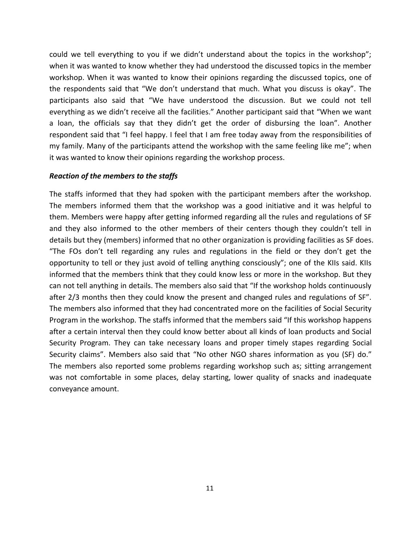could we tell everything to you if we didn't understand about the topics in the workshop"; when it was wanted to know whether they had understood the discussed topics in the member workshop. When it was wanted to know their opinions regarding the discussed topics, one of the respondents said that "We don't understand that much. What you discuss is okay". The participants also said that "We have understood the discussion. But we could not tell everything as we didn't receive all the facilities." Another participant said that "When we want a loan, the officials say that they didn't get the order of disbursing the loan". Another respondent said that "I feel happy. I feel that I am free today away from the responsibilities of my family. Many of the participants attend the workshop with the same feeling like me"; when it was wanted to know their opinions regarding the workshop process.

#### *Reaction of the members to the staffs*

The staffs informed that they had spoken with the participant members after the workshop. The members informed them that the workshop was a good initiative and it was helpful to them. Members were happy after getting informed regarding all the rules and regulations of SF and they also informed to the other members of their centers though they couldn't tell in details but they (members) informed that no other organization is providing facilities as SF does. "The FOs don't tell regarding any rules and regulations in the field or they don't get the opportunity to tell or they just avoid of telling anything consciously"; one of the KIIs said. KIIs informed that the members think that they could know less or more in the workshop. But they can not tell anything in details. The members also said that "If the workshop holds continuously after 2/3 months then they could know the present and changed rules and regulations of SF". The members also informed that they had concentrated more on the facilities of Social Security Program in the workshop. The staffs informed that the members said "If this workshop happens after a certain interval then they could know better about all kinds of loan products and Social Security Program. They can take necessary loans and proper timely stapes regarding Social Security claims". Members also said that "No other NGO shares information as you (SF) do." The members also reported some problems regarding workshop such as; sitting arrangement was not comfortable in some places, delay starting, lower quality of snacks and inadequate conveyance amount.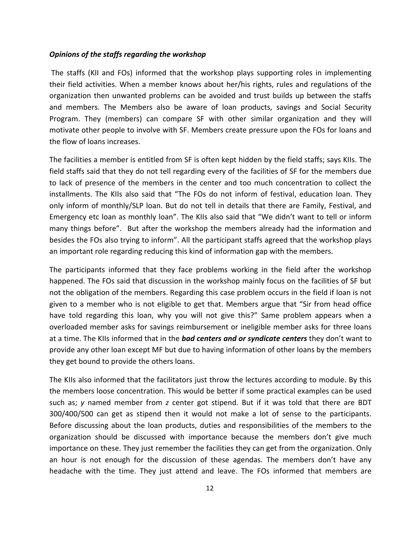#### *Opinions of the staffs regarding the workshop*

The staffs (KII and FOs) informed that the workshop plays supporting roles in implementing their field activities. When a member knows about her/his rights, rules and regulations of the organization then unwanted problems can be avoided and trust builds up between the staffs and members. The Members also be aware of loan products, savings and Social Security Program. They (members) can compare SF with other similar organization and they will motivate other people to involve with SF. Members create pressure upon the FOs for loans and the flow of loans increases.

The facilities a member is entitled from SF is often kept hidden by the field staffs; says KIIs. The field staffs said that they do not tell regarding every of the facilities of SF for the members due to lack of presence of the members in the center and too much concentration to collect the installments. The KIIs also said that "The FOs do not inform of festival, education loan. They only inform of monthly/SLP loan. But do not tell in details that there are Family, Festival, and Emergency etc loan as monthly loan". The KIIs also said that "We didn't want to tell or inform many things before". But after the workshop the members already had the information and besides the FOs also trying to inform". All the participant staffs agreed that the workshop plays an important role regarding reducing this kind of information gap with the members.

The participants informed that they face problems working in the field after the workshop happened. The FOs said that discussion in the workshop mainly focus on the facilities of SF but not the obligation of the members. Regarding this case problem occurs in the field if loan is not given to a member who is not eligible to get that. Members argue that "Sir from head office have told regarding this loan, why you will not give this?" Same problem appears when a overloaded member asks for savings reimbursement or ineligible member asks for three loans at a time. The KIIs informed that in the *bad centers and or syndicate centers* they don't want to provide any other loan except MF but due to having information of other loans by the members they get bound to provide the others loans.

The KIIs also informed that the facilitators just throw the lectures according to module. By this the members loose concentration. This would be better if some practical examples can be used such as; *y* named member from *z* center got stipend. But if it was told that there are BDT 300/400/500 can get as stipend then it would not make a lot of sense to the participants. Before discussing about the loan products, duties and responsibilities of the members to the organization should be discussed with importance because the members don't give much importance on these. They just remember the facilities they can get from the organization. Only an hour is not enough for the discussion of these agendas. The members don't have any headache with the time. They just attend and leave. The FOs informed that members are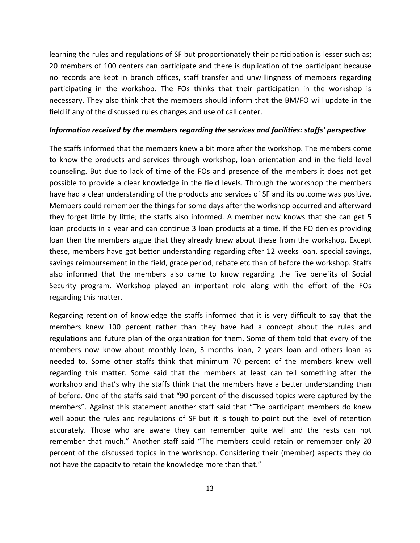learning the rules and regulations of SF but proportionately their participation is lesser such as; 20 members of 100 centers can participate and there is duplication of the participant because no records are kept in branch offices, staff transfer and unwillingness of members regarding participating in the workshop. The FOs thinks that their participation in the workshop is necessary. They also think that the members should inform that the BM/FO will update in the field if any of the discussed rules changes and use of call center.

#### *Information received by the members regarding the services and facilities: staffs' perspective*

The staffs informed that the members knew a bit more after the workshop. The members come to know the products and services through workshop, loan orientation and in the field level counseling. But due to lack of time of the FOs and presence of the members it does not get possible to provide a clear knowledge in the field levels. Through the workshop the members have had a clear understanding of the products and services of SF and its outcome was positive. Members could remember the things for some days after the workshop occurred and afterward they forget little by little; the staffs also informed. A member now knows that she can get 5 loan products in a year and can continue 3 loan products at a time. If the FO denies providing loan then the members argue that they already knew about these from the workshop. Except these, members have got better understanding regarding after 12 weeks loan, special savings, savings reimbursement in the field, grace period, rebate etc than of before the workshop. Staffs also informed that the members also came to know regarding the five benefits of Social Security program. Workshop played an important role along with the effort of the FOs regarding this matter.

Regarding retention of knowledge the staffs informed that it is very difficult to say that the members knew 100 percent rather than they have had a concept about the rules and regulations and future plan of the organization for them. Some of them told that every of the members now know about monthly loan, 3 months loan, 2 years loan and others loan as needed to. Some other staffs think that minimum 70 percent of the members knew well regarding this matter. Some said that the members at least can tell something after the workshop and that's why the staffs think that the members have a better understanding than of before. One of the staffs said that "90 percent of the discussed topics were captured by the members". Against this statement another staff said that "The participant members do knew well about the rules and regulations of SF but it is tough to point out the level of retention accurately. Those who are aware they can remember quite well and the rests can not remember that much." Another staff said "The members could retain or remember only 20 percent of the discussed topics in the workshop. Considering their (member) aspects they do not have the capacity to retain the knowledge more than that."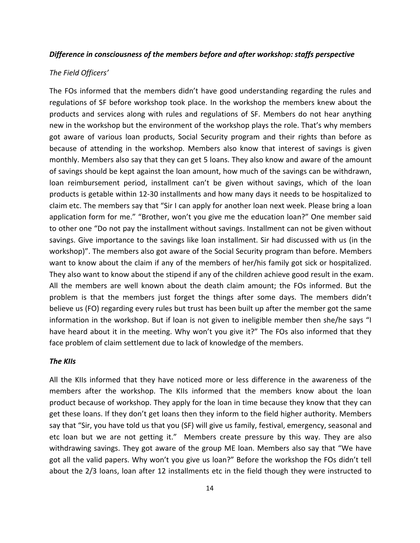#### *Difference in consciousness of the members before and after workshop: staffs perspective*

#### *The Field Officers'*

The FOs informed that the members didn't have good understanding regarding the rules and regulations of SF before workshop took place. In the workshop the members knew about the products and services along with rules and regulations of SF. Members do not hear anything new in the workshop but the environment of the workshop plays the role. That's why members got aware of various loan products, Social Security program and their rights than before as because of attending in the workshop. Members also know that interest of savings is given monthly. Members also say that they can get 5 loans. They also know and aware of the amount of savings should be kept against the loan amount, how much of the savings can be withdrawn, loan reimbursement period, installment can't be given without savings, which of the loan products is getable within 12‐30 installments and how many days it needs to be hospitalized to claim etc. The members say that "Sir I can apply for another loan next week. Please bring a loan application form for me." "Brother, won't you give me the education loan?" One member said to other one "Do not pay the installment without savings. Installment can not be given without savings. Give importance to the savings like loan installment. Sir had discussed with us (in the workshop)". The members also got aware of the Social Security program than before. Members want to know about the claim if any of the members of her/his family got sick or hospitalized. They also want to know about the stipend if any of the children achieve good result in the exam. All the members are well known about the death claim amount; the FOs informed. But the problem is that the members just forget the things after some days. The members didn't believe us (FO) regarding every rules but trust has been built up after the member got the same information in the workshop. But if loan is not given to ineligible member then she/he says "I have heard about it in the meeting. Why won't you give it?" The FOs also informed that they face problem of claim settlement due to lack of knowledge of the members.

#### *The KIIs*

All the KIIs informed that they have noticed more or less difference in the awareness of the members after the workshop. The KIIs informed that the members know about the loan product because of workshop. They apply for the loan in time because they know that they can get these loans. If they don't get loans then they inform to the field higher authority. Members say that "Sir, you have told us that you (SF) will give us family, festival, emergency, seasonal and etc loan but we are not getting it." Members create pressure by this way. They are also withdrawing savings. They got aware of the group ME loan. Members also say that "We have got all the valid papers. Why won't you give us loan?" Before the workshop the FOs didn't tell about the 2/3 loans, loan after 12 installments etc in the field though they were instructed to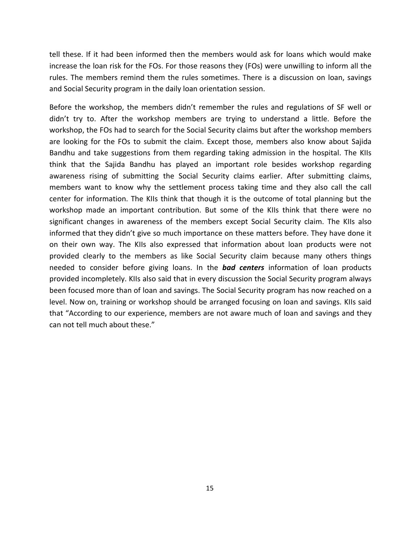tell these. If it had been informed then the members would ask for loans which would make increase the loan risk for the FOs. For those reasons they (FOs) were unwilling to inform all the rules. The members remind them the rules sometimes. There is a discussion on loan, savings and Social Security program in the daily loan orientation session.

Before the workshop, the members didn't remember the rules and regulations of SF well or didn't try to. After the workshop members are trying to understand a little. Before the workshop, the FOs had to search for the Social Security claims but after the workshop members are looking for the FOs to submit the claim. Except those, members also know about Sajida Bandhu and take suggestions from them regarding taking admission in the hospital. The KIIs think that the Sajida Bandhu has played an important role besides workshop regarding awareness rising of submitting the Social Security claims earlier. After submitting claims, members want to know why the settlement process taking time and they also call the call center for information. The KIIs think that though it is the outcome of total planning but the workshop made an important contribution. But some of the KIIs think that there were no significant changes in awareness of the members except Social Security claim. The KIIs also informed that they didn't give so much importance on these matters before. They have done it on their own way. The KIIs also expressed that information about loan products were not provided clearly to the members as like Social Security claim because many others things needed to consider before giving loans. In the *bad centers* information of loan products provided incompletely. KIIs also said that in every discussion the Social Security program always been focused more than of loan and savings. The Social Security program has now reached on a level. Now on, training or workshop should be arranged focusing on loan and savings. KIIs said that "According to our experience, members are not aware much of loan and savings and they can not tell much about these."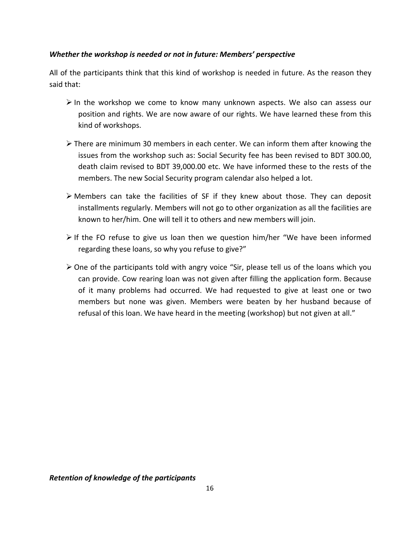## *Whether the workshop is needed or not in future: Members' perspective*

All of the participants think that this kind of workshop is needed in future. As the reason they said that:

- $\triangleright$  In the workshop we come to know many unknown aspects. We also can assess our position and rights. We are now aware of our rights. We have learned these from this kind of workshops.
- $\triangleright$  There are minimum 30 members in each center. We can inform them after knowing the issues from the workshop such as: Social Security fee has been revised to BDT 300.00, death claim revised to BDT 39,000.00 etc. We have informed these to the rests of the members. The new Social Security program calendar also helped a lot.
- $\triangleright$  Members can take the facilities of SF if they knew about those. They can deposit installments regularly. Members will not go to other organization as all the facilities are known to her/him. One will tell it to others and new members will join.
- $\triangleright$  If the FO refuse to give us loan then we question him/her "We have been informed regarding these loans, so why you refuse to give?"
- One of the participants told with angry voice "Sir, please tell us of the loans which you can provide. Cow rearing loan was not given after filling the application form. Because of it many problems had occurred. We had requested to give at least one or two members but none was given. Members were beaten by her husband because of refusal of this loan. We have heard in the meeting (workshop) but not given at all."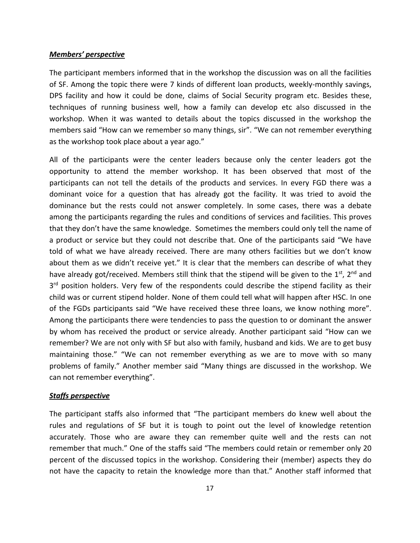#### *Members' perspective*

The participant members informed that in the workshop the discussion was on all the facilities of SF. Among the topic there were 7 kinds of different loan products, weekly‐monthly savings, DPS facility and how it could be done, claims of Social Security program etc. Besides these, techniques of running business well, how a family can develop etc also discussed in the workshop. When it was wanted to details about the topics discussed in the workshop the members said "How can we remember so many things, sir". "We can not remember everything as the workshop took place about a year ago."

All of the participants were the center leaders because only the center leaders got the opportunity to attend the member workshop. It has been observed that most of the participants can not tell the details of the products and services. In every FGD there was a dominant voice for a question that has already got the facility. It was tried to avoid the dominance but the rests could not answer completely. In some cases, there was a debate among the participants regarding the rules and conditions of services and facilities. This proves that they don't have the same knowledge. Sometimes the members could only tell the name of a product or service but they could not describe that. One of the participants said "We have told of what we have already received. There are many others facilities but we don't know about them as we didn't receive yet." It is clear that the members can describe of what they have already got/received. Members still think that the stipend will be given to the  $1<sup>st</sup>$ ,  $2<sup>nd</sup>$  and  $3<sup>rd</sup>$  position holders. Very few of the respondents could describe the stipend facility as their child was or current stipend holder. None of them could tell what will happen after HSC. In one of the FGDs participants said "We have received these three loans, we know nothing more". Among the participants there were tendencies to pass the question to or dominant the answer by whom has received the product or service already. Another participant said "How can we remember? We are not only with SF but also with family, husband and kids. We are to get busy maintaining those." "We can not remember everything as we are to move with so many problems of family." Another member said "Many things are discussed in the workshop. We can not remember everything".

#### *Staffs perspective*

The participant staffs also informed that "The participant members do knew well about the rules and regulations of SF but it is tough to point out the level of knowledge retention accurately. Those who are aware they can remember quite well and the rests can not remember that much." One of the staffs said "The members could retain or remember only 20 percent of the discussed topics in the workshop. Considering their (member) aspects they do not have the capacity to retain the knowledge more than that." Another staff informed that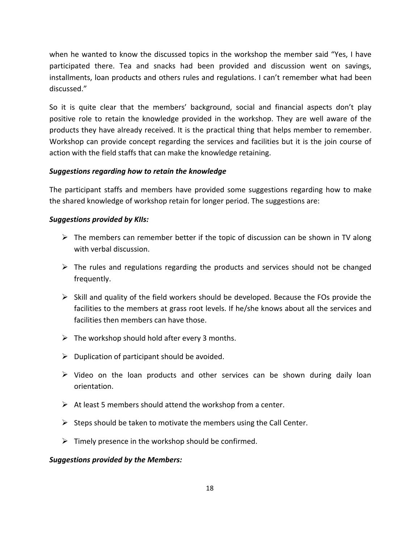when he wanted to know the discussed topics in the workshop the member said "Yes, I have participated there. Tea and snacks had been provided and discussion went on savings, installments, loan products and others rules and regulations. I can't remember what had been discussed."

So it is quite clear that the members' background, social and financial aspects don't play positive role to retain the knowledge provided in the workshop. They are well aware of the products they have already received. It is the practical thing that helps member to remember. Workshop can provide concept regarding the services and facilities but it is the join course of action with the field staffs that can make the knowledge retaining.

## *Suggestions regarding how to retain the knowledge*

The participant staffs and members have provided some suggestions regarding how to make the shared knowledge of workshop retain for longer period. The suggestions are:

### *Suggestions provided by KIIs:*

- $\triangleright$  The members can remember better if the topic of discussion can be shown in TV along with verbal discussion.
- $\triangleright$  The rules and regulations regarding the products and services should not be changed frequently.
- $\triangleright$  Skill and quality of the field workers should be developed. Because the FOs provide the facilities to the members at grass root levels. If he/she knows about all the services and facilities then members can have those.
- $\triangleright$  The workshop should hold after every 3 months.
- $\triangleright$  Duplication of participant should be avoided.
- $\triangleright$  Video on the loan products and other services can be shown during daily loan orientation.
- $\triangleright$  At least 5 members should attend the workshop from a center.
- $\triangleright$  Steps should be taken to motivate the members using the Call Center.
- $\triangleright$  Timely presence in the workshop should be confirmed.

## *Suggestions provided by the Members:*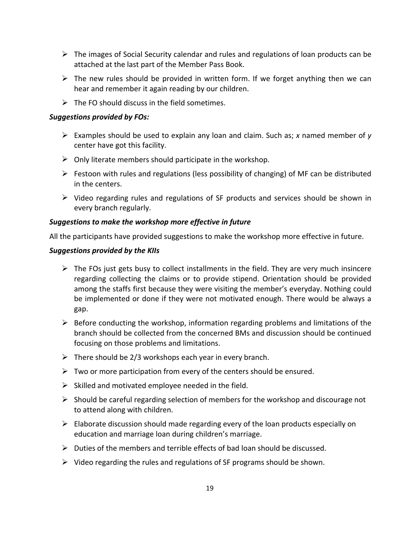- $\triangleright$  The images of Social Security calendar and rules and regulations of loan products can be attached at the last part of the Member Pass Book.
- $\triangleright$  The new rules should be provided in written form. If we forget anything then we can hear and remember it again reading by our children.
- $\triangleright$  The FO should discuss in the field sometimes.

## *Suggestions provided by FOs:*

- Examples should be used to explain any loan and claim. Such as; *x* named member of *y* center have got this facility.
- $\triangleright$  Only literate members should participate in the workshop.
- $\triangleright$  Festoon with rules and regulations (less possibility of changing) of MF can be distributed in the centers.
- $\triangleright$  Video regarding rules and regulations of SF products and services should be shown in every branch regularly.

## *Suggestions to make the workshop more effective in future*

All the participants have provided suggestions to make the workshop more effective in future.

## *Suggestions provided by the KIIs*

- $\triangleright$  The FOs just gets busy to collect installments in the field. They are very much insincere regarding collecting the claims or to provide stipend. Orientation should be provided among the staffs first because they were visiting the member's everyday. Nothing could be implemented or done if they were not motivated enough. There would be always a gap.
- $\triangleright$  Before conducting the workshop, information regarding problems and limitations of the branch should be collected from the concerned BMs and discussion should be continued focusing on those problems and limitations.
- $\triangleright$  There should be 2/3 workshops each year in every branch.
- $\triangleright$  Two or more participation from every of the centers should be ensured.
- $\triangleright$  Skilled and motivated employee needed in the field.
- $\triangleright$  Should be careful regarding selection of members for the workshop and discourage not to attend along with children.
- $\triangleright$  Elaborate discussion should made regarding every of the loan products especially on education and marriage loan during children's marriage.
- $\triangleright$  Duties of the members and terrible effects of bad loan should be discussed.
- $\triangleright$  Video regarding the rules and regulations of SF programs should be shown.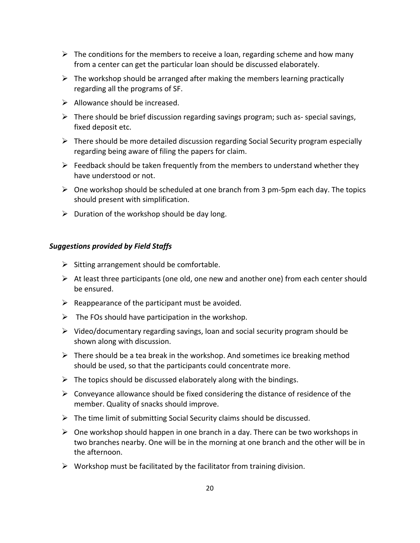- $\triangleright$  The conditions for the members to receive a loan, regarding scheme and how many from a center can get the particular loan should be discussed elaborately.
- $\triangleright$  The workshop should be arranged after making the members learning practically regarding all the programs of SF.
- $\triangleright$  Allowance should be increased.
- $\triangleright$  There should be brief discussion regarding savings program; such as-special savings, fixed deposit etc.
- $\triangleright$  There should be more detailed discussion regarding Social Security program especially regarding being aware of filing the papers for claim.
- $\triangleright$  Feedback should be taken frequently from the members to understand whether they have understood or not.
- $\triangleright$  One workshop should be scheduled at one branch from 3 pm-5pm each day. The topics should present with simplification.
- $\triangleright$  Duration of the workshop should be day long.

#### *Suggestions provided by Field Staffs*

- $\triangleright$  Sitting arrangement should be comfortable.
- $\triangleright$  At least three participants (one old, one new and another one) from each center should be ensured.
- $\triangleright$  Reappearance of the participant must be avoided.
- $\triangleright$  The FOs should have participation in the workshop.
- $\triangleright$  Video/documentary regarding savings, loan and social security program should be shown along with discussion.
- $\triangleright$  There should be a tea break in the workshop. And sometimes ice breaking method should be used, so that the participants could concentrate more.
- $\triangleright$  The topics should be discussed elaborately along with the bindings.
- $\triangleright$  Conveyance allowance should be fixed considering the distance of residence of the member. Quality of snacks should improve.
- $\triangleright$  The time limit of submitting Social Security claims should be discussed.
- $\triangleright$  One workshop should happen in one branch in a day. There can be two workshops in two branches nearby. One will be in the morning at one branch and the other will be in the afternoon.
- $\triangleright$  Workshop must be facilitated by the facilitator from training division.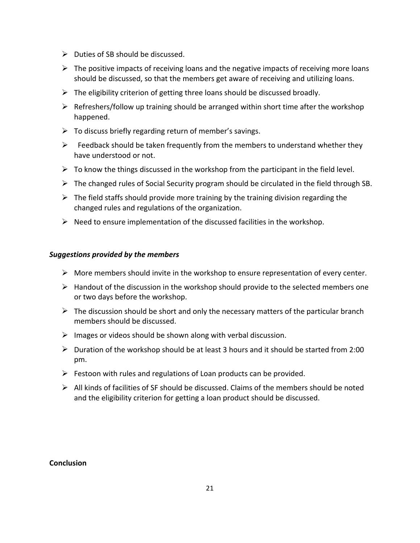- $\triangleright$  Duties of SB should be discussed.
- $\triangleright$  The positive impacts of receiving loans and the negative impacts of receiving more loans should be discussed, so that the members get aware of receiving and utilizing loans.
- $\triangleright$  The eligibility criterion of getting three loans should be discussed broadly.
- $\triangleright$  Refreshers/follow up training should be arranged within short time after the workshop happened.
- $\triangleright$  To discuss briefly regarding return of member's savings.
- $\triangleright$  Feedback should be taken frequently from the members to understand whether they have understood or not.
- $\triangleright$  To know the things discussed in the workshop from the participant in the field level.
- $\triangleright$  The changed rules of Social Security program should be circulated in the field through SB.
- $\triangleright$  The field staffs should provide more training by the training division regarding the changed rules and regulations of the organization.
- $\triangleright$  Need to ensure implementation of the discussed facilities in the workshop.

## *Suggestions provided by the members*

- $\triangleright$  More members should invite in the workshop to ensure representation of every center.
- $\triangleright$  Handout of the discussion in the workshop should provide to the selected members one or two days before the workshop.
- $\triangleright$  The discussion should be short and only the necessary matters of the particular branch members should be discussed.
- $\triangleright$  Images or videos should be shown along with verbal discussion.
- $\triangleright$  Duration of the workshop should be at least 3 hours and it should be started from 2:00 pm.
- $\triangleright$  Festoon with rules and regulations of Loan products can be provided.
- $\triangleright$  All kinds of facilities of SF should be discussed. Claims of the members should be noted and the eligibility criterion for getting a loan product should be discussed.

#### **Conclusion**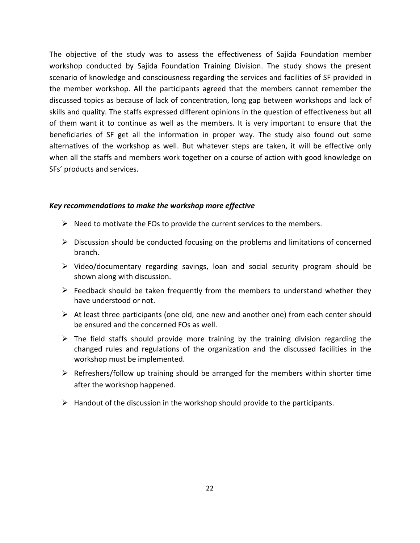The objective of the study was to assess the effectiveness of Sajida Foundation member workshop conducted by Sajida Foundation Training Division. The study shows the present scenario of knowledge and consciousness regarding the services and facilities of SF provided in the member workshop. All the participants agreed that the members cannot remember the discussed topics as because of lack of concentration, long gap between workshops and lack of skills and quality. The staffs expressed different opinions in the question of effectiveness but all of them want it to continue as well as the members. It is very important to ensure that the beneficiaries of SF get all the information in proper way. The study also found out some alternatives of the workshop as well. But whatever steps are taken, it will be effective only when all the staffs and members work together on a course of action with good knowledge on SFs' products and services.

#### *Key recommendations to make the workshop more effective*

- $\triangleright$  Need to motivate the FOs to provide the current services to the members.
- $\triangleright$  Discussion should be conducted focusing on the problems and limitations of concerned branch.
- $\triangleright$  Video/documentary regarding savings, loan and social security program should be shown along with discussion.
- $\triangleright$  Feedback should be taken frequently from the members to understand whether they have understood or not.
- $\triangleright$  At least three participants (one old, one new and another one) from each center should be ensured and the concerned FOs as well.
- $\triangleright$  The field staffs should provide more training by the training division regarding the changed rules and regulations of the organization and the discussed facilities in the workshop must be implemented.
- $\triangleright$  Refreshers/follow up training should be arranged for the members within shorter time after the workshop happened.
- $\triangleright$  Handout of the discussion in the workshop should provide to the participants.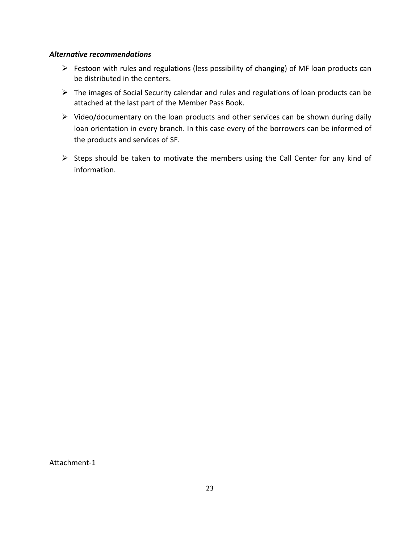#### *Alternative recommendations*

- $\triangleright$  Festoon with rules and regulations (less possibility of changing) of MF loan products can be distributed in the centers.
- The images of Social Security calendar and rules and regulations of loan products can be attached at the last part of the Member Pass Book.
- $\triangleright$  Video/documentary on the loan products and other services can be shown during daily loan orientation in every branch. In this case every of the borrowers can be informed of the products and services of SF.
- $\triangleright$  Steps should be taken to motivate the members using the Call Center for any kind of information.

Attachment‐1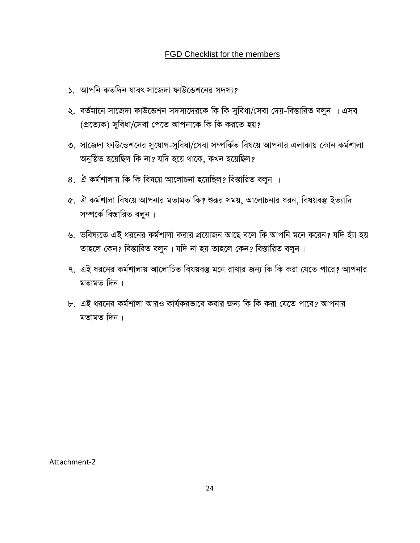## FGD Checklist for the members

- ১. আপনি কতদিন যাবৎ সাজেদা ফাউন্ডেশনের সদস্য?
- ২. বৰ্তমানে সাজেদা ফাউন্ডেশন সদস্যদেৱকে কি কি সুবিধা/সেবা দেয়-বিস্তারিত বলুন । এসব (প্ৰত্যেক) সুবিধা/সেবা পেতে আপনাকে কি কি করতে হয়?
- ৩. সাজেদা ফাউন্ডেশনের সুযোগ-সুবিধা/সেবা সম্পর্কিত বিষয়ে আপনার এলাকায় কোন কর্মশালা অনুষ্ঠিত হয়েছিল কি না? যদি হয়ে থাকে, কখন হয়েছিল?
- 8. ঐ কর্মশালায় কি কি বিষয়ে আলোচনা হয়েছিল? বিস্তারিত বলুন ।
- <u>৫. ঐ কর্মশালা বিষয়ে আপনার মতামত কি? শুরূর সময়, আলোচনার ধরন, বিষয়বস্তু ইত্যাদি</u> সম্পৰ্কে বিস্তারিত বলুন**।**
- ৬. ভবিষ্যতে এই ধরনের কর্মশালা করার প্রয়োজন আছে বলে কি আপনি মনে করেন? যদি হ্যা হয় তাহলে কেন? বিস্তারিত বলুন। যদি না হয় তাহলে কেন? বিস্তারিত বলুন।
- ৭. এই ধরনের কর্মশালায় আলোচিত বিষয়বস্তু মনে রাখার জন্য কি কি করা যেতে পারে? আপনার মতামত দিন $\perp$
- ৮. এই ধরনের কর্মশালা আরও কার্যকরভাবে করার জন্য কি কি করা যেতে পারে? আপনার মতামত দিন $\perp$

Attachment‐2